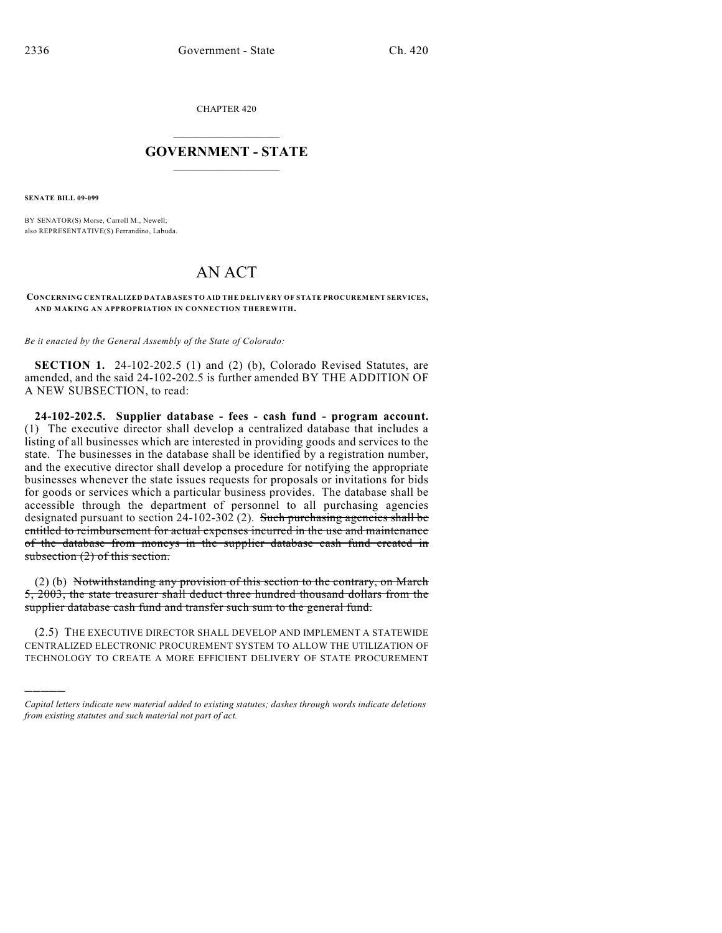CHAPTER 420

## $\mathcal{L}_\text{max}$  . The set of the set of the set of the set of the set of the set of the set of the set of the set of the set of the set of the set of the set of the set of the set of the set of the set of the set of the set **GOVERNMENT - STATE**  $\_$   $\_$   $\_$   $\_$   $\_$   $\_$   $\_$   $\_$

**SENATE BILL 09-099**

)))))

BY SENATOR(S) Morse, Carroll M., Newell; also REPRESENTATIVE(S) Ferrandino, Labuda.

## AN ACT

**CONCERNING CENTRALIZED DATABASES TO AID THE DELIVERY OF STATE PROCUREMENT SERVICES, AND MAKING AN APPROPRIATION IN CONNECTION THEREWITH.**

*Be it enacted by the General Assembly of the State of Colorado:*

**SECTION 1.** 24-102-202.5 (1) and (2) (b), Colorado Revised Statutes, are amended, and the said 24-102-202.5 is further amended BY THE ADDITION OF A NEW SUBSECTION, to read:

**24-102-202.5. Supplier database - fees - cash fund - program account.** (1) The executive director shall develop a centralized database that includes a listing of all businesses which are interested in providing goods and services to the state. The businesses in the database shall be identified by a registration number, and the executive director shall develop a procedure for notifying the appropriate businesses whenever the state issues requests for proposals or invitations for bids for goods or services which a particular business provides. The database shall be accessible through the department of personnel to all purchasing agencies designated pursuant to section 24-102-302 (2). Such purchasing agencies shall be entitled to reimbursement for actual expenses incurred in the use and maintenance of the database from moneys in the supplier database cash fund created in subsection (2) of this section.

(2) (b) Notwithstanding any provision of this section to the contrary, on March 5, 2003, the state treasurer shall deduct three hundred thousand dollars from the supplier database cash fund and transfer such sum to the general fund.

(2.5) THE EXECUTIVE DIRECTOR SHALL DEVELOP AND IMPLEMENT A STATEWIDE CENTRALIZED ELECTRONIC PROCUREMENT SYSTEM TO ALLOW THE UTILIZATION OF TECHNOLOGY TO CREATE A MORE EFFICIENT DELIVERY OF STATE PROCUREMENT

*Capital letters indicate new material added to existing statutes; dashes through words indicate deletions from existing statutes and such material not part of act.*